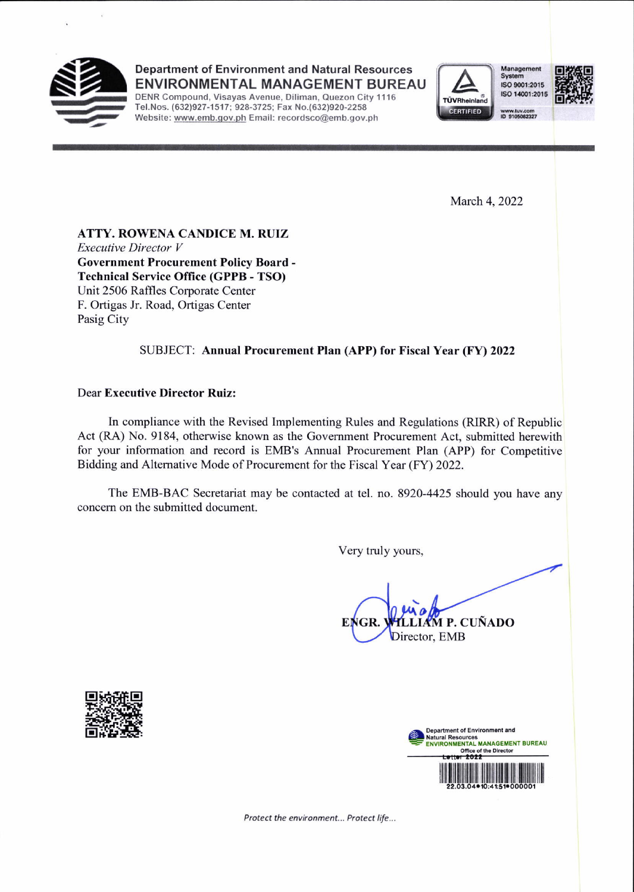

Department of Environment and Natural Resources **ENVIRONMENTAL MANAGEMENT BUREAU** 

DENR Compound, Visayas Avenue, Diliman, Quezon City 1116 Tel.Nos. (632)927-1517; 928-3725; Fax No.(632)920-2258 Website: www.emb.gov.ph Email: recordsco@emb.gov.ph



Management System ISO 9001:2015 ISO 14001:2015

w.tuv.com<br>9105082327

March 4, 2022

ATTY. ROWENA CANDICE M. RUIZ **Executive Director V Government Procurement Policy Board -Technical Service Office (GPPB - TSO)** Unit 2506 Raffles Corporate Center F. Ortigas Jr. Road, Ortigas Center Pasig City

## SUBJECT: Annual Procurement Plan (APP) for Fiscal Year (FY) 2022

## **Dear Executive Director Ruiz:**

In compliance with the Revised Implementing Rules and Regulations (RIRR) of Republic Act (RA) No. 9184, otherwise known as the Government Procurement Act, submitted herewith for your information and record is EMB's Annual Procurement Plan (APP) for Competitive Bidding and Alternative Mode of Procurement for the Fiscal Year (FY) 2022.

The EMB-BAC Secretariat may be contacted at tel. no. 8920-4425 should you have any concern on the submitted document.

Very truly yours,

AM P. CUÑADO EI Director, EMB





Protect the environment... Protect life...